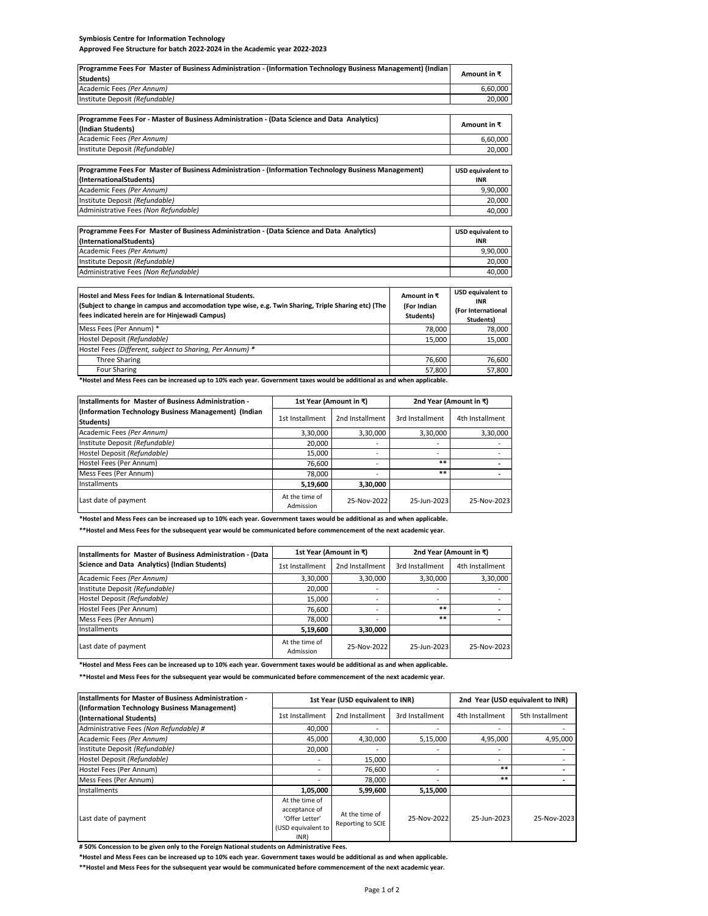## **Symbiosis Centre for Information Technology Approved Fee Structure for batch 2022-2024 in the Academic year 2022-2023**

Administrative Fees *(Non Refundable)*

| Programme Fees For Master of Business Administration - (Information Technology Business Management) (Indian)<br>Students) | Amount in $\bar{x}$ |
|---------------------------------------------------------------------------------------------------------------------------|---------------------|
| Academic Fees (Per Annum)                                                                                                 | 6.60.000            |
| Institute Deposit (Refundable)                                                                                            | 20.000              |

| Programme Fees For - Master of Business Administration - (Data Science and Data Analytics)          |                          |
|-----------------------------------------------------------------------------------------------------|--------------------------|
| (Indian Students)                                                                                   | Amount in ₹              |
| Academic Fees (Per Annum)                                                                           | 6,60,000                 |
| Institute Deposit (Refundable)                                                                      | 20,000                   |
|                                                                                                     |                          |
| Programme Fees For Master of Business Administration - (Information Technology Business Management) | <b>USD equivalent to</b> |
| (InternationalStudents)                                                                             | INR                      |
| Academic Fees (Per Annum)                                                                           | 9,90,000                 |
| Institute Deposit (Refundable)                                                                      | 20,000                   |
| Administrative Fees (Non Refundable)                                                                | 40,000                   |
|                                                                                                     |                          |
| Programme Fees For Master of Business Administration - (Data Science and Data Analytics)            | <b>USD equivalent to</b> |
| (InternationalStudents)                                                                             | INR                      |
| Academic Fees (Per Annum)                                                                           | 9,90,000                 |
| Institute Deposit (Refundable)                                                                      | 20.000                   |

| Hostel and Mess Fees for Indian & International Students.<br>(Subject to change in campus and accomodation type wise, e.g. Twin Sharing, Triple Sharing etc) (The<br>fees indicated herein are for Hinjewadi Campus) | Amount in ₹<br>(For Indian<br>Students) | <b>USD equivalent to</b><br><b>INR</b><br>(For International<br>Students) |
|----------------------------------------------------------------------------------------------------------------------------------------------------------------------------------------------------------------------|-----------------------------------------|---------------------------------------------------------------------------|
| Mess Fees (Per Annum) *                                                                                                                                                                                              | 78,000                                  | 78.000                                                                    |
| Hostel Deposit (Refundable)                                                                                                                                                                                          | 15.000                                  | 15.000                                                                    |
| Hostel Fees (Different, subject to Sharing, Per Annum) *                                                                                                                                                             |                                         |                                                                           |
| Three Sharing                                                                                                                                                                                                        | 76,600                                  | 76.600                                                                    |
| Four Sharing                                                                                                                                                                                                         | 57.800                                  | 57,800                                                                    |

40,000

ed up to 10% e

| Installments for Master of Business Administration -              |                             | 1st Year (Amount in ₹)   | 2nd Year (Amount in ₹)   |                 |  |
|-------------------------------------------------------------------|-----------------------------|--------------------------|--------------------------|-----------------|--|
| (Information Technology Business Management) (Indian<br>Students) | 1st Installment             | 2nd Installment          | 3rd Installment          | 4th Installment |  |
| Academic Fees (Per Annum)                                         | 3,30,000                    | 3,30,000                 | 3,30,000                 | 3,30,000        |  |
| Institute Deposit (Refundable)                                    | 20.000                      |                          | $\overline{\phantom{a}}$ |                 |  |
| Hostel Deposit (Refundable)                                       | 15.000                      |                          | $\overline{\phantom{a}}$ |                 |  |
| Hostel Fees (Per Annum)                                           | 76,600                      | $\overline{\phantom{a}}$ | **                       |                 |  |
| Mess Fees (Per Annum)                                             | 78.000                      |                          | **                       |                 |  |
| Installments                                                      | 5,19,600                    | 3,30,000                 |                          |                 |  |
| Last date of payment                                              | At the time of<br>Admission | 25-Nov-2022              | 25-Jun-2023              | 25-Nov-2023     |  |

**\*Hostel and Mess Fees can be increased up to 10% each year. Government taxes would be additional as and when applicable.**

**\*\*Hostel and Mess Fees for the subsequent year would be communicated before commencement of the next academic year.**

| Installments for Master of Business Administration - (Data |                             | 1st Year (Amount in ₹) | 2nd Year (Amount in ₹)   |                 |  |
|------------------------------------------------------------|-----------------------------|------------------------|--------------------------|-----------------|--|
| Science and Data Analytics) (Indian Students)              | 1st Installment             | 2nd Installment        | 3rd Installment          | 4th Installment |  |
| Academic Fees (Per Annum)                                  | 3,30,000                    | 3,30,000               | 3,30,000                 | 3,30,000        |  |
| Institute Deposit (Refundable)                             | 20,000                      |                        | ۰                        |                 |  |
| Hostel Deposit (Refundable)                                | 15,000                      |                        | $\overline{\phantom{a}}$ |                 |  |
| Hostel Fees (Per Annum)                                    | 76,600                      |                        | **                       |                 |  |
| Mess Fees (Per Annum)                                      | 78,000                      |                        | **                       |                 |  |
| Installments                                               | 5,19,600                    | 3,30,000               |                          |                 |  |
| Last date of payment                                       | At the time of<br>Admission | 25-Nov-2022            | 25-Jun-2023              | 25-Nov-2023     |  |

**\*Hostel and Mess Fees can be increased up to 10% each year. Government taxes would be additional as and when applicable.**

**\*\*Hostel and Mess Fees for the subsequent year would be communicated before commencement of the next academic year.**

| <b>Installments for Master of Business Administration -</b>              | 1st Year (USD equivalent to INR)                                                |                                     |                          | 2nd Year (USD equivalent to INR) |                 |
|--------------------------------------------------------------------------|---------------------------------------------------------------------------------|-------------------------------------|--------------------------|----------------------------------|-----------------|
| (Information Technology Business Management)<br>(International Students) | 1st Installment                                                                 | 2nd Installment                     | 3rd Installment          | 4th Installment                  | 5th Installment |
| Administrative Fees (Non Refundable) #                                   | 40,000                                                                          | ۰                                   | $\overline{\phantom{a}}$ |                                  |                 |
| Academic Fees (Per Annum)                                                | 45,000                                                                          | 4,30,000                            | 5,15,000                 | 4,95,000                         | 4,95,000        |
| Institute Deposit (Refundable)                                           | 20,000                                                                          |                                     | $\overline{\phantom{a}}$ |                                  |                 |
| Hostel Deposit (Refundable)                                              |                                                                                 | 15,000                              |                          |                                  |                 |
| Hostel Fees (Per Annum)                                                  |                                                                                 | 76,600                              | $\overline{\phantom{a}}$ | **                               |                 |
| Mess Fees (Per Annum)                                                    |                                                                                 | 78.000                              |                          | **                               |                 |
| Installments                                                             | 1,05,000                                                                        | 5,99,600                            | 5,15,000                 |                                  |                 |
| Last date of payment                                                     | At the time of<br>acceptance of<br>'Offer Letter'<br>(USD equivalent to<br>INR) | At the time of<br>Reporting to SCIE | 25-Nov-2022              | 25-Jun-2023                      | 25-Nov-2023     |

**# 50% Concession to be given only to the Foreign National students on Administrative Fees.**

**\*Hostel and Mess Fees can be increased up to 10% each year. Government taxes would be additional as and when applicable.**

**\*\*Hostel and Mess Fees for the subsequent year would be communicated before commencement of the next academic year.**